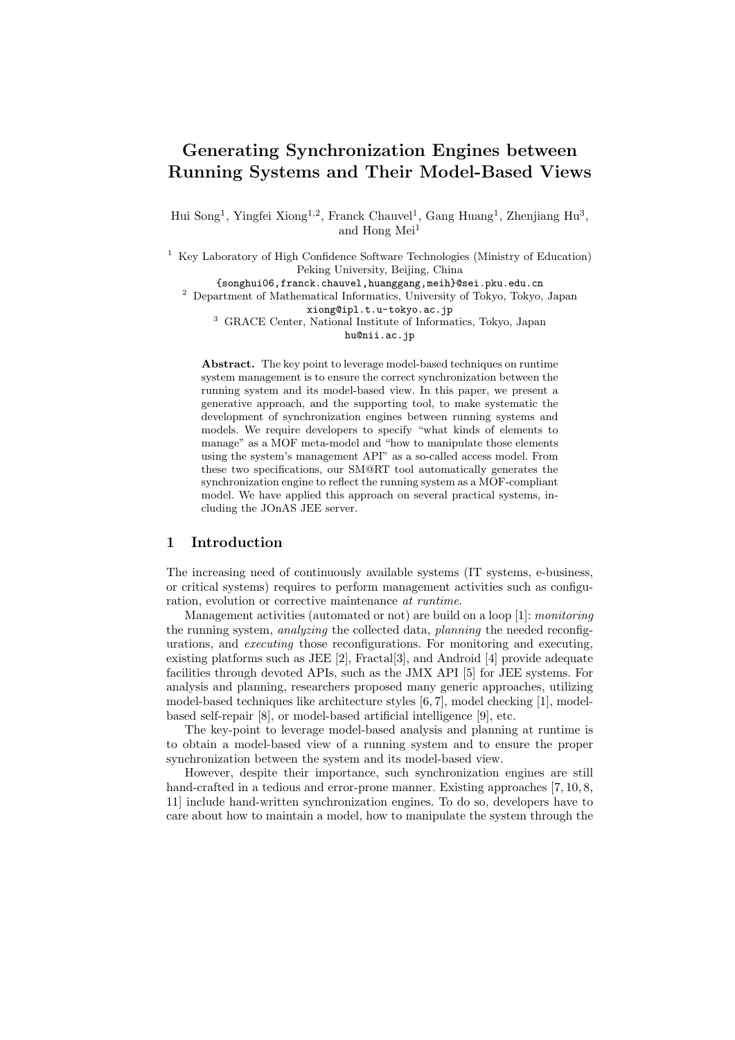# Generating Synchronization Engines between Running Systems and Their Model-Based Views

Hui Song<sup>1</sup>, Yingfei Xiong<sup>1,2</sup>, Franck Chauvel<sup>1</sup>, Gang Huang<sup>1</sup>, Zhenjiang Hu<sup>3</sup>, and Hong Mei<sup>1</sup>

<sup>1</sup> Key Laboratory of High Confidence Software Technologies (Ministry of Education) Peking University, Beijing, China

{songhui06,franck.chauvel,huanggang,meih}@sei.pku.edu.cn

<sup>2</sup> Department of Mathematical Informatics, University of Tokyo, Tokyo, Japan xiong@ipl.t.u-tokyo.ac.jp

<sup>3</sup> GRACE Center, National Institute of Informatics, Tokyo, Japan hu@nii.ac.jp

Abstract. The key point to leverage model-based techniques on runtime system management is to ensure the correct synchronization between the running system and its model-based view. In this paper, we present a generative approach, and the supporting tool, to make systematic the development of synchronization engines between running systems and models. We require developers to specify "what kinds of elements to manage" as a MOF meta-model and "how to manipulate those elements using the system's management API" as a so-called access model. From these two specifications, our SM@RT tool automatically generates the synchronization engine to reflect the running system as a MOF-compliant model. We have applied this approach on several practical systems, including the JOnAS JEE server.

### 1 Introduction

The increasing need of continuously available systems (IT systems, e-business, or critical systems) requires to perform management activities such as configuration, evolution or corrective maintenance at runtime.

Management activities (automated or not) are build on a loop [1]: monitoring the running system, analyzing the collected data, planning the needed reconfigurations, and executing those reconfigurations. For monitoring and executing, existing platforms such as JEE [2], Fractal[3], and Android [4] provide adequate facilities through devoted APIs, such as the JMX API [5] for JEE systems. For analysis and planning, researchers proposed many generic approaches, utilizing model-based techniques like architecture styles [6, 7], model checking [1], modelbased self-repair [8], or model-based artificial intelligence [9], etc.

The key-point to leverage model-based analysis and planning at runtime is to obtain a model-based view of a running system and to ensure the proper synchronization between the system and its model-based view.

However, despite their importance, such synchronization engines are still hand-crafted in a tedious and error-prone manner. Existing approaches [7, 10, 8, 11] include hand-written synchronization engines. To do so, developers have to care about how to maintain a model, how to manipulate the system through the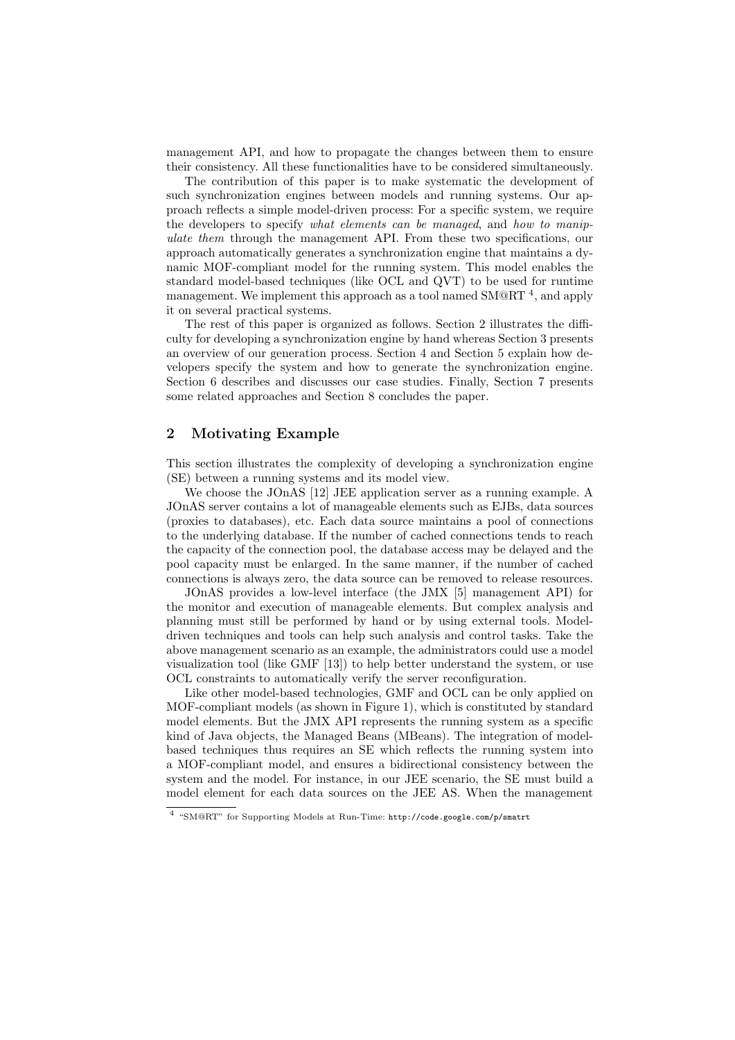management API, and how to propagate the changes between them to ensure their consistency. All these functionalities have to be considered simultaneously.

The contribution of this paper is to make systematic the development of such synchronization engines between models and running systems. Our approach reflects a simple model-driven process: For a specific system, we require the developers to specify what elements can be managed, and how to manipulate them through the management API. From these two specifications, our approach automatically generates a synchronization engine that maintains a dynamic MOF-compliant model for the running system. This model enables the standard model-based techniques (like OCL and QVT) to be used for runtime management. We implement this approach as a tool named  $\text{SMQRT}^4$ , and apply it on several practical systems.

The rest of this paper is organized as follows. Section 2 illustrates the difficulty for developing a synchronization engine by hand whereas Section 3 presents an overview of our generation process. Section 4 and Section 5 explain how developers specify the system and how to generate the synchronization engine. Section 6 describes and discusses our case studies. Finally, Section 7 presents some related approaches and Section 8 concludes the paper.

# 2 Motivating Example

This section illustrates the complexity of developing a synchronization engine (SE) between a running systems and its model view.

We choose the JOnAS [12] JEE application server as a running example. A JOnAS server contains a lot of manageable elements such as EJBs, data sources (proxies to databases), etc. Each data source maintains a pool of connections to the underlying database. If the number of cached connections tends to reach the capacity of the connection pool, the database access may be delayed and the pool capacity must be enlarged. In the same manner, if the number of cached connections is always zero, the data source can be removed to release resources.

JOnAS provides a low-level interface (the JMX [5] management API) for the monitor and execution of manageable elements. But complex analysis and planning must still be performed by hand or by using external tools. Modeldriven techniques and tools can help such analysis and control tasks. Take the above management scenario as an example, the administrators could use a model visualization tool (like GMF [13]) to help better understand the system, or use OCL constraints to automatically verify the server reconfiguration.

Like other model-based technologies, GMF and OCL can be only applied on MOF-compliant models (as shown in Figure 1), which is constituted by standard model elements. But the JMX API represents the running system as a specific kind of Java objects, the Managed Beans (MBeans). The integration of modelbased techniques thus requires an SE which reflects the running system into a MOF-compliant model, and ensures a bidirectional consistency between the system and the model. For instance, in our JEE scenario, the SE must build a model element for each data sources on the JEE AS. When the management

<sup>4</sup> "SM@RT" for Supporting Models at Run-Time: http://code.google.com/p/smatrt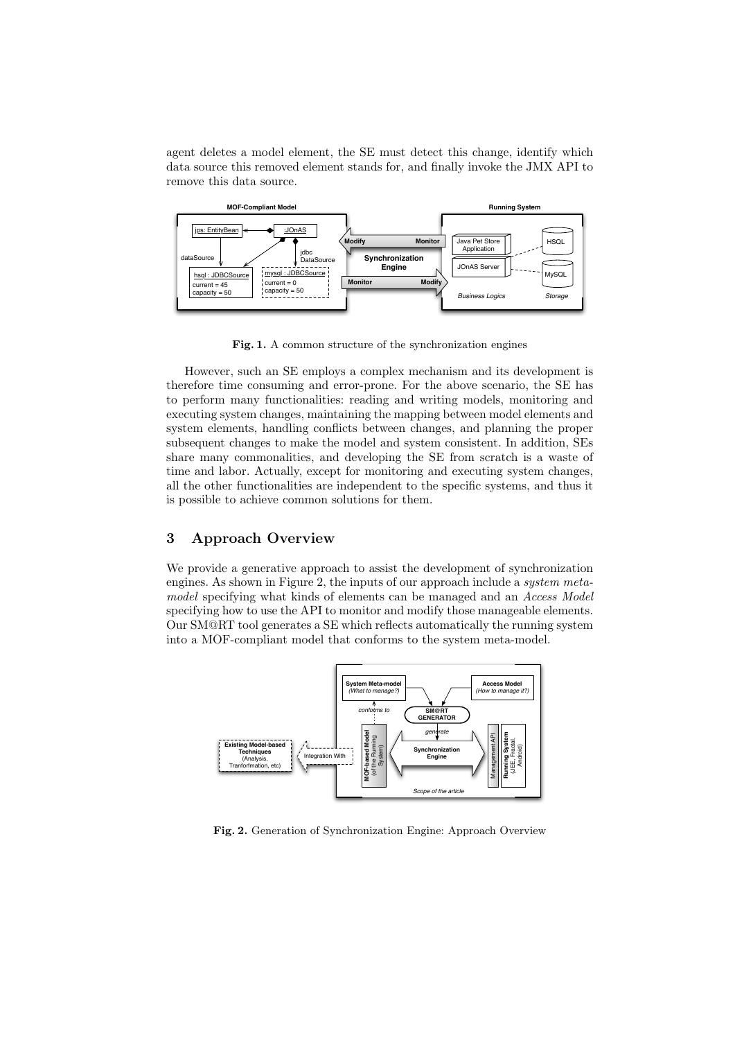agent deletes a model element, the SE must detect this change, identify which data source this removed element stands for, and finally invoke the JMX API to remove this data source.



Fig. 1. A common structure of the synchronization engines

However, such an SE employs a complex mechanism and its development is therefore time consuming and error-prone. For the above scenario, the SE has to perform many functionalities: reading and writing models, monitoring and executing system changes, maintaining the mapping between model elements and system elements, handling conflicts between changes, and planning the proper subsequent changes to make the model and system consistent. In addition, SEs share many commonalities, and developing the SE from scratch is a waste of time and labor. Actually, except for monitoring and executing system changes, all the other functionalities are independent to the specific systems, and thus it is possible to achieve common solutions for them.

# 3 Approach Overview

We provide a generative approach to assist the development of synchronization engines. As shown in Figure 2, the inputs of our approach include a system metamodel specifying what kinds of elements can be managed and an Access Model specifying how to use the API to monitor and modify those manageable elements. Our SM@RT tool generates a SE which reflects automatically the running system into a MOF-compliant model that conforms to the system meta-model.



Fig. 2. Generation of Synchronization Engine: Approach Overview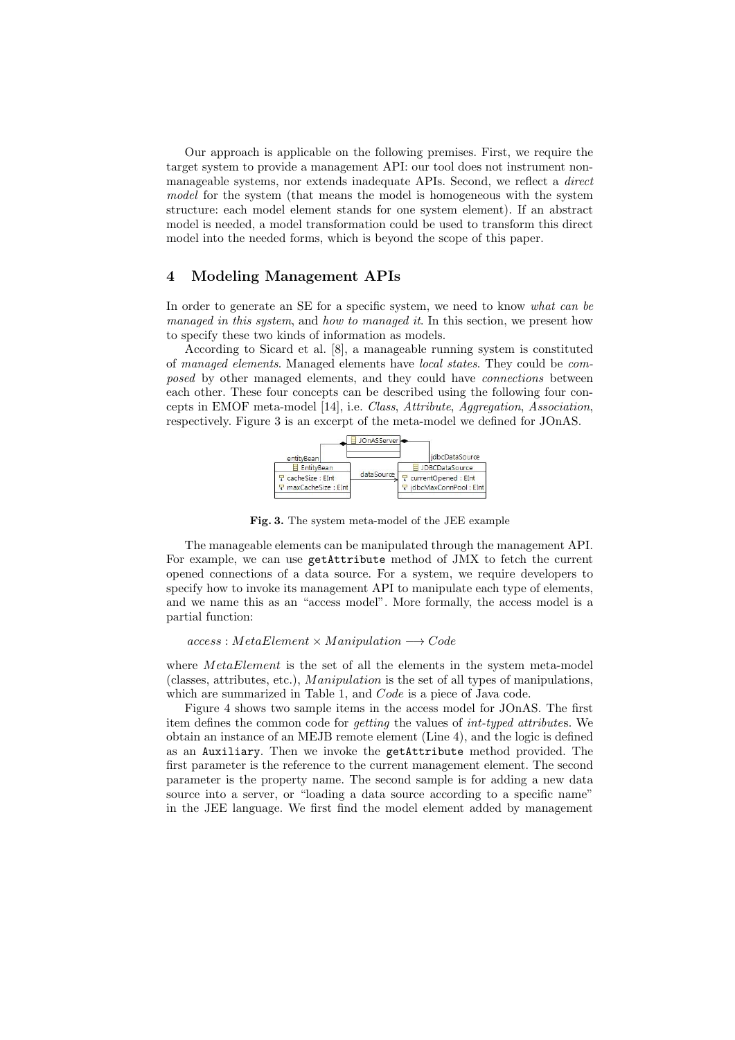Our approach is applicable on the following premises. First, we require the target system to provide a management API: our tool does not instrument nonmanageable systems, nor extends inadequate APIs. Second, we reflect a direct model for the system (that means the model is homogeneous with the system structure: each model element stands for one system element). If an abstract model is needed, a model transformation could be used to transform this direct model into the needed forms, which is beyond the scope of this paper.

# 4 Modeling Management APIs

In order to generate an SE for a specific system, we need to know what can be managed in this system, and how to managed it. In this section, we present how to specify these two kinds of information as models.

According to Sicard et al. [8], a manageable running system is constituted of managed elements. Managed elements have local states. They could be composed by other managed elements, and they could have connections between each other. These four concepts can be described using the following four concepts in EMOF meta-model [14], i.e. Class, Attribute, Aggregation, Association, respectively. Figure 3 is an excerpt of the meta-model we defined for JOnAS.



Fig. 3. The system meta-model of the JEE example

The manageable elements can be manipulated through the management API. For example, we can use getAttribute method of JMX to fetch the current opened connections of a data source. For a system, we require developers to specify how to invoke its management API to manipulate each type of elements, and we name this as an "access model". More formally, the access model is a partial function:

### $access : MetaElement \times Manipulation \longrightarrow Code$

where *MetaElement* is the set of all the elements in the system meta-model (classes, attributes, etc.), *Manipulation* is the set of all types of manipulations, which are summarized in Table 1, and Code is a piece of Java code.

Figure 4 shows two sample items in the access model for JOnAS. The first item defines the common code for getting the values of int-typed attributes. We obtain an instance of an MEJB remote element (Line 4), and the logic is defined as an Auxiliary. Then we invoke the getAttribute method provided. The first parameter is the reference to the current management element. The second parameter is the property name. The second sample is for adding a new data source into a server, or "loading a data source according to a specific name" in the JEE language. We first find the model element added by management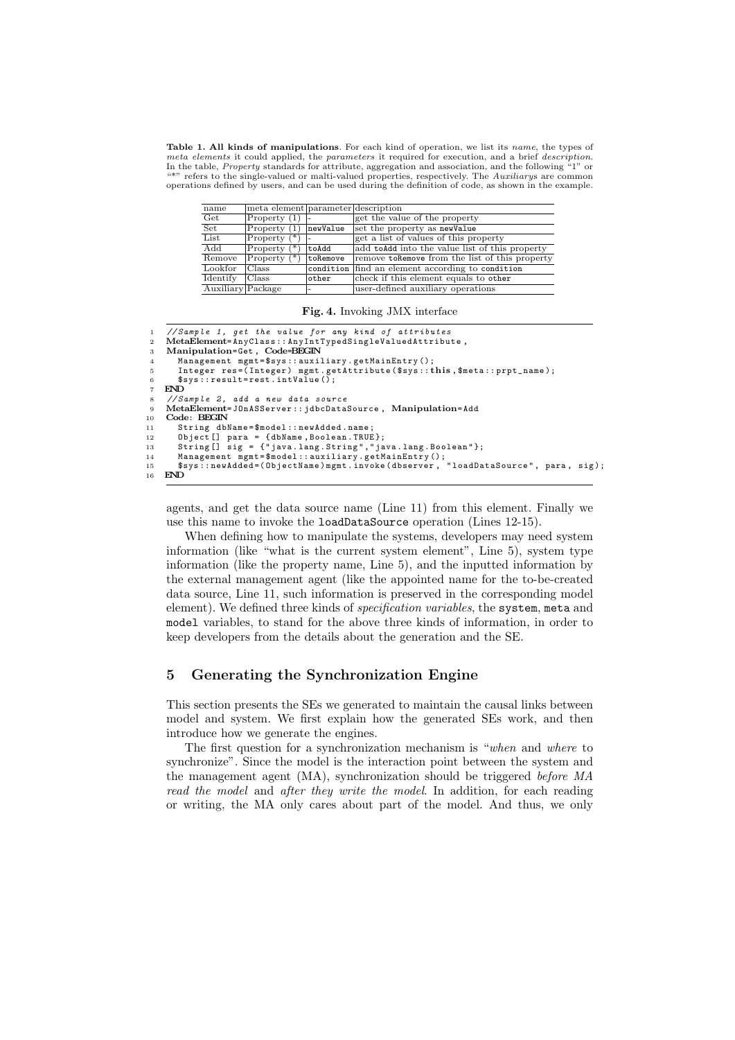Table 1. All kinds of manipulations. For each kind of operation, we list its name, the types of meta elements it could applied, the parameters it required for execution, and a brief description. In the table, *Property* standards for attribute, aggregation and association, and the following "1" or \*\*" refers to the single-valued or malti-valued properties, respectively. The Auxiliarys are common operations defined by users, and can be used during the definition of code, as shown in the example.

| name                      | meta element parameter description |              |                                                  |
|---------------------------|------------------------------------|--------------|--------------------------------------------------|
| $\overline{\text{Get}}$   | Property $(1)$ -                   |              | get the value of the property                    |
| $\overline{\text{Set}}$   | Property $(1)$                     | newValue     | set the property as newValue                     |
| List                      | Property $(*)$                     |              | get a list of values of this property            |
| $\overline{\mathrm{Add}}$ | Property                           | toAdd        | add to Add into the value list of this property  |
| Remove                    | Property $(*)$                     | toRemove     | remove to Remove from the list of this property  |
| Lookfor                   | Class                              |              | condition find an element according to condition |
| Identify                  | Class                              | $\circ$ ther | check if this element equals to other            |
| Auxiliary Package         |                                    |              | user-defined auxiliary operations                |

|  | Fig. 4. Invoking JMX interface |  |  |
|--|--------------------------------|--|--|
|--|--------------------------------|--|--|

```
1 // Sample 1, get the value for any kind of attributes<br>2 MetaElement=AnyClass:: AnyIntTypedSingleValuedAttribut
 2   MetaElement=AnyClass::AnyIntTypedSingleValuedAttribute,<br>3   Manipulation=Get, Code=BEGIN
 4 Management mgmt = $sys :: auxiliary . getMainEntry ();
         Integer res=(Integer) mgmt.getAttribute ($sys::this, $meta::prpt_name);
 6 $sys::result=rest.intValue(\bar{)};<br>
7. FNDEND
 8 // Sample 2, add a new data source
9 MetaElement= JOnASServer :: jdbcDataSource , Manipulation= Add
     C_{\Omega}de: BECIN
11 String dbName=$model::newAdded.name;
12 Object [] para = {dbName, Boolean.TRUE};<br>12 Object [] para = {dbName, Boolean.TRUE};<br>13 String [] sig = {"java.lang.String","java.lang.Boolean"};
13 String[] sig = {"java.lang.String","java.lang.Boolean"};<br>14 Management mgmt=$model::auxiliary.getMainEntry();<br>15 $sys::newAdded=(ObjectName)mgmt.invoke(dbserver, "loadDataSource", para, sig);
16 END
```
agents, and get the data source name (Line 11) from this element. Finally we use this name to invoke the loadDataSource operation (Lines 12-15).

When defining how to manipulate the systems, developers may need system information (like "what is the current system element", Line 5), system type information (like the property name, Line 5), and the inputted information by the external management agent (like the appointed name for the to-be-created data source, Line 11, such information is preserved in the corresponding model element). We defined three kinds of *specification variables*, the system, meta and model variables, to stand for the above three kinds of information, in order to keep developers from the details about the generation and the SE.

# 5 Generating the Synchronization Engine

This section presents the SEs we generated to maintain the causal links between model and system. We first explain how the generated SEs work, and then introduce how we generate the engines.

The first question for a synchronization mechanism is "when and where to synchronize". Since the model is the interaction point between the system and the management agent (MA), synchronization should be triggered before MA read the model and after they write the model. In addition, for each reading or writing, the MA only cares about part of the model. And thus, we only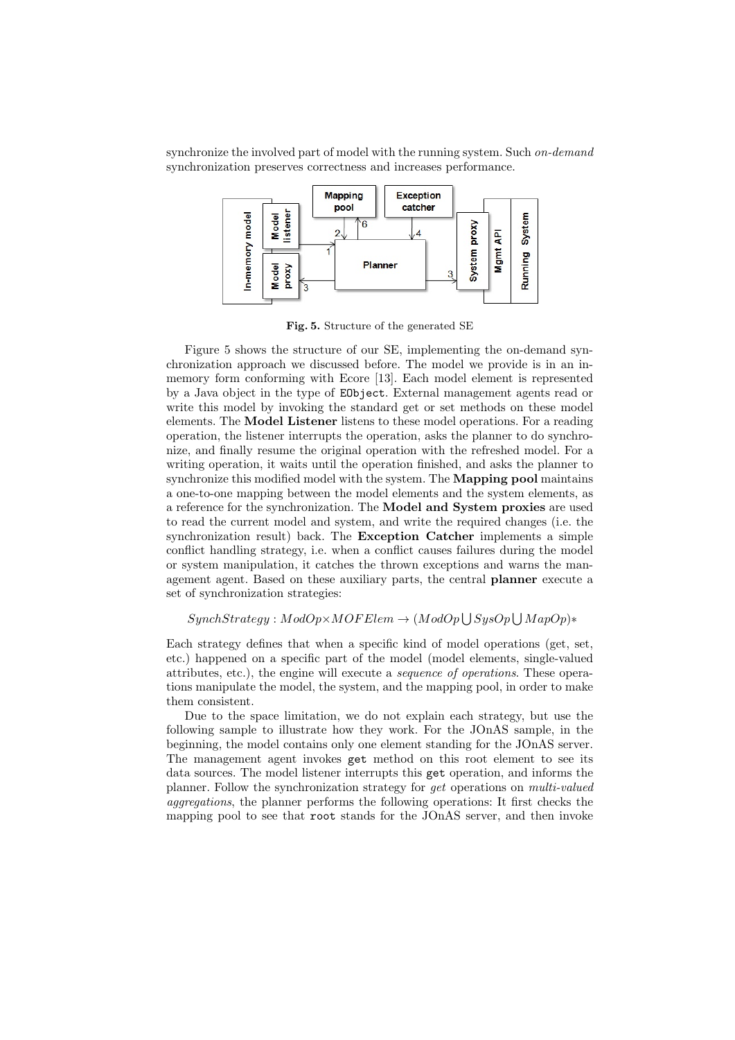synchronize the involved part of model with the running system. Such on-demand synchronization preserves correctness and increases performance.



Fig. 5. Structure of the generated SE

Figure 5 shows the structure of our SE, implementing the on-demand synchronization approach we discussed before. The model we provide is in an inmemory form conforming with Ecore [13]. Each model element is represented by a Java object in the type of EObject. External management agents read or write this model by invoking the standard get or set methods on these model elements. The Model Listener listens to these model operations. For a reading operation, the listener interrupts the operation, asks the planner to do synchronize, and finally resume the original operation with the refreshed model. For a writing operation, it waits until the operation finished, and asks the planner to synchronize this modified model with the system. The **Mapping pool** maintains a one-to-one mapping between the model elements and the system elements, as a reference for the synchronization. The Model and System proxies are used to read the current model and system, and write the required changes (i.e. the synchronization result) back. The Exception Catcher implements a simple conflict handling strategy, i.e. when a conflict causes failures during the model or system manipulation, it catches the thrown exceptions and warns the management agent. Based on these auxiliary parts, the central planner execute a set of synchronization strategies:

### $SynchStrategy: ModOp \times MOF Element \rightarrow (ModOp \bigcup SysOp \bigcup MapOp)*$

Each strategy defines that when a specific kind of model operations (get, set, etc.) happened on a specific part of the model (model elements, single-valued attributes, etc.), the engine will execute a sequence of operations. These operations manipulate the model, the system, and the mapping pool, in order to make them consistent.

Due to the space limitation, we do not explain each strategy, but use the following sample to illustrate how they work. For the JOnAS sample, in the beginning, the model contains only one element standing for the JOnAS server. The management agent invokes get method on this root element to see its data sources. The model listener interrupts this get operation, and informs the planner. Follow the synchronization strategy for get operations on multi-valued aggregations, the planner performs the following operations: It first checks the mapping pool to see that root stands for the JOnAS server, and then invoke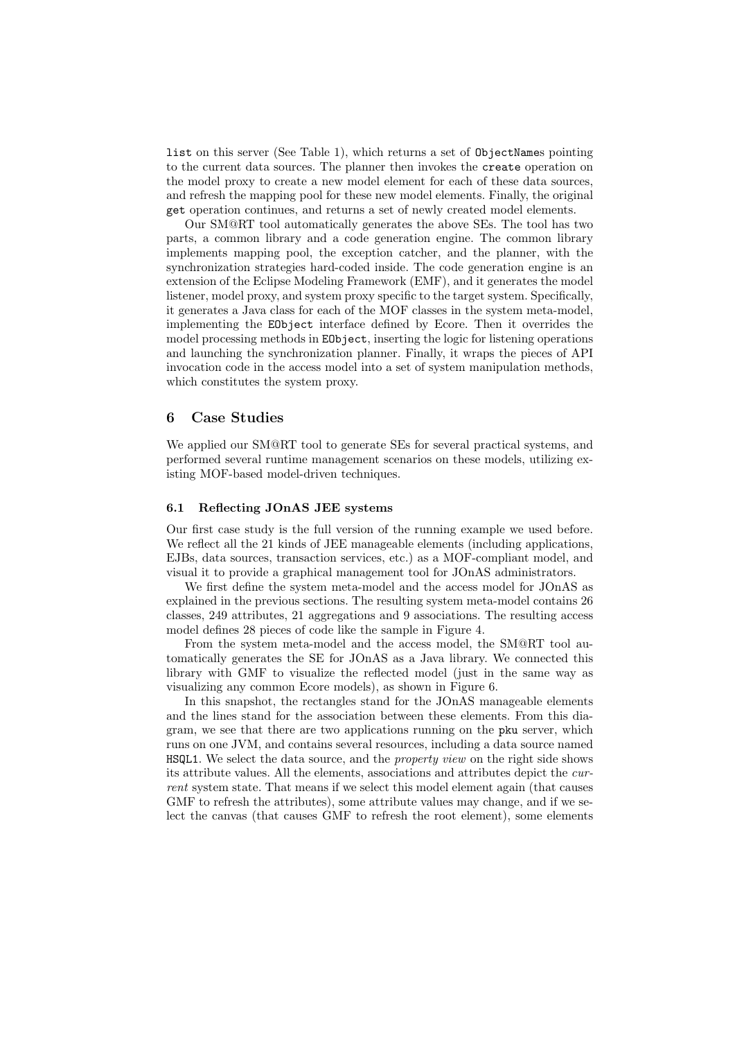list on this server (See Table 1), which returns a set of ObjectNames pointing to the current data sources. The planner then invokes the create operation on the model proxy to create a new model element for each of these data sources, and refresh the mapping pool for these new model elements. Finally, the original get operation continues, and returns a set of newly created model elements.

Our SM@RT tool automatically generates the above SEs. The tool has two parts, a common library and a code generation engine. The common library implements mapping pool, the exception catcher, and the planner, with the synchronization strategies hard-coded inside. The code generation engine is an extension of the Eclipse Modeling Framework (EMF), and it generates the model listener, model proxy, and system proxy specific to the target system. Specifically, it generates a Java class for each of the MOF classes in the system meta-model, implementing the EObject interface defined by Ecore. Then it overrides the model processing methods in EObject, inserting the logic for listening operations and launching the synchronization planner. Finally, it wraps the pieces of API invocation code in the access model into a set of system manipulation methods, which constitutes the system proxy.

# 6 Case Studies

We applied our SM@RT tool to generate SEs for several practical systems, and performed several runtime management scenarios on these models, utilizing existing MOF-based model-driven techniques.

### 6.1 Reflecting JOnAS JEE systems

Our first case study is the full version of the running example we used before. We reflect all the 21 kinds of JEE manageable elements (including applications, EJBs, data sources, transaction services, etc.) as a MOF-compliant model, and visual it to provide a graphical management tool for JOnAS administrators.

We first define the system meta-model and the access model for JOnAS as explained in the previous sections. The resulting system meta-model contains 26 classes, 249 attributes, 21 aggregations and 9 associations. The resulting access model defines 28 pieces of code like the sample in Figure 4.

From the system meta-model and the access model, the SM@RT tool automatically generates the SE for JOnAS as a Java library. We connected this library with GMF to visualize the reflected model (just in the same way as visualizing any common Ecore models), as shown in Figure 6.

In this snapshot, the rectangles stand for the JOnAS manageable elements and the lines stand for the association between these elements. From this diagram, we see that there are two applications running on the pku server, which runs on one JVM, and contains several resources, including a data source named HSQL1. We select the data source, and the property view on the right side shows its attribute values. All the elements, associations and attributes depict the current system state. That means if we select this model element again (that causes GMF to refresh the attributes), some attribute values may change, and if we select the canvas (that causes GMF to refresh the root element), some elements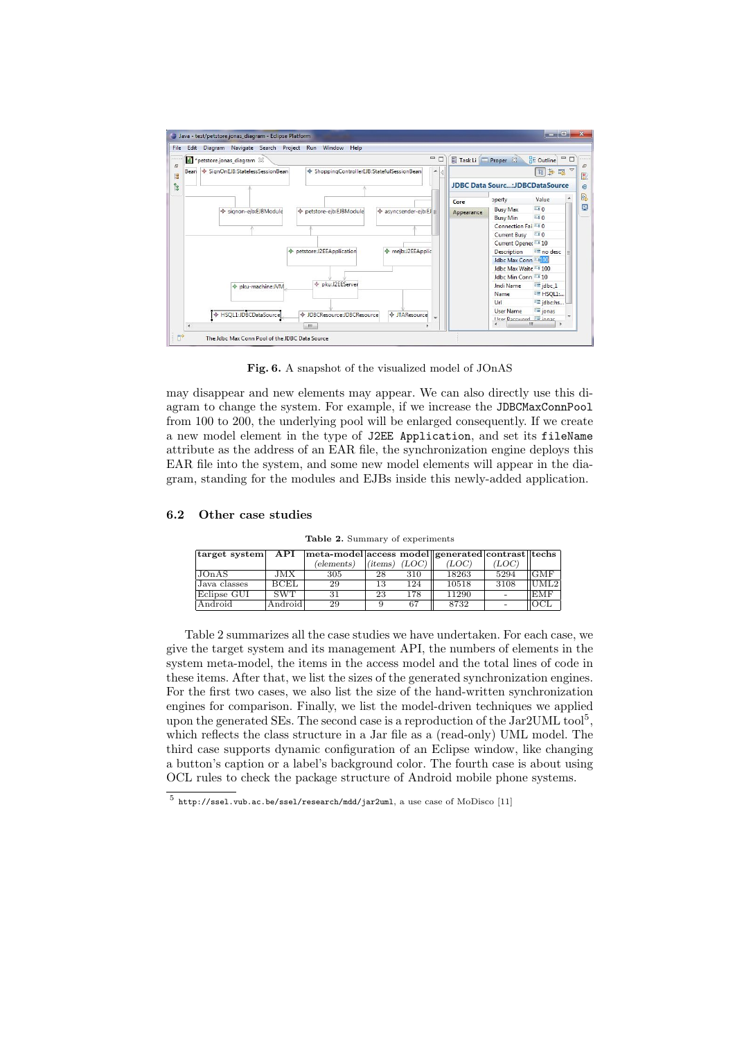

Fig. 6. A snapshot of the visualized model of JOnAS

may disappear and new elements may appear. We can also directly use this diagram to change the system. For example, if we increase the JDBCMaxConnPool from 100 to 200, the underlying pool will be enlarged consequently. If we create a new model element in the type of J2EE Application, and set its fileName attribute as the address of an EAR file, the synchronization engine deploys this EAR file into the system, and some new model elements will appear in the diagram, standing for the modules and EJBs inside this newly-added application.

#### 6.2 Other case studies

Table 2. Summary of experiments

| target system | API         | meta-model access model generated contrast  techs |         |       |       |       |                  |
|---------------|-------------|---------------------------------------------------|---------|-------|-------|-------|------------------|
|               |             | (elements)                                        | (items) | (LOC) | ЪOС   | (LOC) |                  |
| JOn A S       | JMX         | 305                                               | 28      | 310   | 18263 | 5294  | <b>GMF</b>       |
| Java classes  | <b>BCEL</b> | 29                                                | 13      | 124   | 10518 | 3108  | UML <sub>2</sub> |
| Eclipse GUI   | <b>SWT</b>  | 31                                                | 23      | 178   | 11290 |       | <b>EMF</b>       |
| Android       | Android     | 29                                                |         | 67    | 8732  |       | OCJ              |

Table 2 summarizes all the case studies we have undertaken. For each case, we give the target system and its management API, the numbers of elements in the system meta-model, the items in the access model and the total lines of code in these items. After that, we list the sizes of the generated synchronization engines. For the first two cases, we also list the size of the hand-written synchronization engines for comparison. Finally, we list the model-driven techniques we applied upon the generated SEs. The second case is a reproduction of the  $\text{Jac}2 \text{UML}$  tool<sup>5</sup>, which reflects the class structure in a Jar file as a (read-only) UML model. The third case supports dynamic configuration of an Eclipse window, like changing a button's caption or a label's background color. The fourth case is about using OCL rules to check the package structure of Android mobile phone systems.

 $^5$  http://ssel.vub.ac.be/ssel/research/mdd/jar2uml, a use case of MoDisco [11]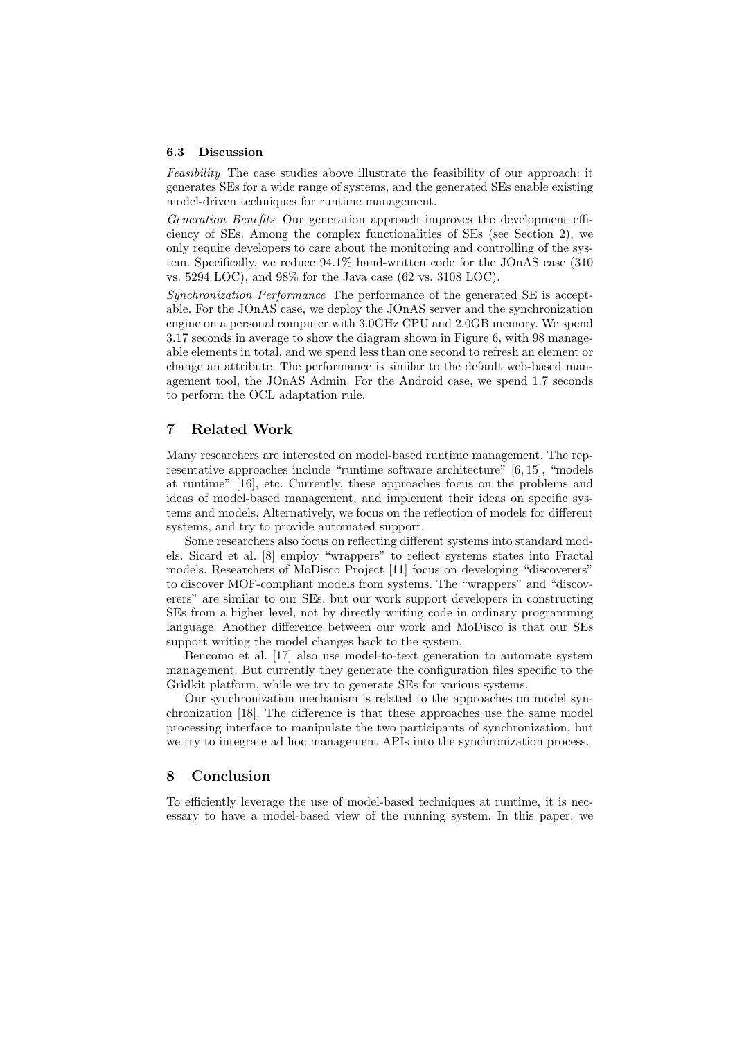#### 6.3 Discussion

Feasibility The case studies above illustrate the feasibility of our approach: it generates SEs for a wide range of systems, and the generated SEs enable existing model-driven techniques for runtime management.

Generation Benefits Our generation approach improves the development efficiency of SEs. Among the complex functionalities of SEs (see Section 2), we only require developers to care about the monitoring and controlling of the system. Specifically, we reduce 94.1% hand-written code for the JOnAS case (310 vs. 5294 LOC), and 98% for the Java case (62 vs. 3108 LOC).

Synchronization Performance The performance of the generated SE is acceptable. For the JOnAS case, we deploy the JOnAS server and the synchronization engine on a personal computer with 3.0GHz CPU and 2.0GB memory. We spend 3.17 seconds in average to show the diagram shown in Figure 6, with 98 manageable elements in total, and we spend less than one second to refresh an element or change an attribute. The performance is similar to the default web-based management tool, the JOnAS Admin. For the Android case, we spend 1.7 seconds to perform the OCL adaptation rule.

# 7 Related Work

Many researchers are interested on model-based runtime management. The representative approaches include "runtime software architecture" [6, 15], "models at runtime" [16], etc. Currently, these approaches focus on the problems and ideas of model-based management, and implement their ideas on specific systems and models. Alternatively, we focus on the reflection of models for different systems, and try to provide automated support.

Some researchers also focus on reflecting different systems into standard models. Sicard et al. [8] employ "wrappers" to reflect systems states into Fractal models. Researchers of MoDisco Project [11] focus on developing "discoverers" to discover MOF-compliant models from systems. The "wrappers" and "discoverers" are similar to our SEs, but our work support developers in constructing SEs from a higher level, not by directly writing code in ordinary programming language. Another difference between our work and MoDisco is that our SEs support writing the model changes back to the system.

Bencomo et al. [17] also use model-to-text generation to automate system management. But currently they generate the configuration files specific to the Gridkit platform, while we try to generate SEs for various systems.

Our synchronization mechanism is related to the approaches on model synchronization [18]. The difference is that these approaches use the same model processing interface to manipulate the two participants of synchronization, but we try to integrate ad hoc management APIs into the synchronization process.

### 8 Conclusion

To efficiently leverage the use of model-based techniques at runtime, it is necessary to have a model-based view of the running system. In this paper, we